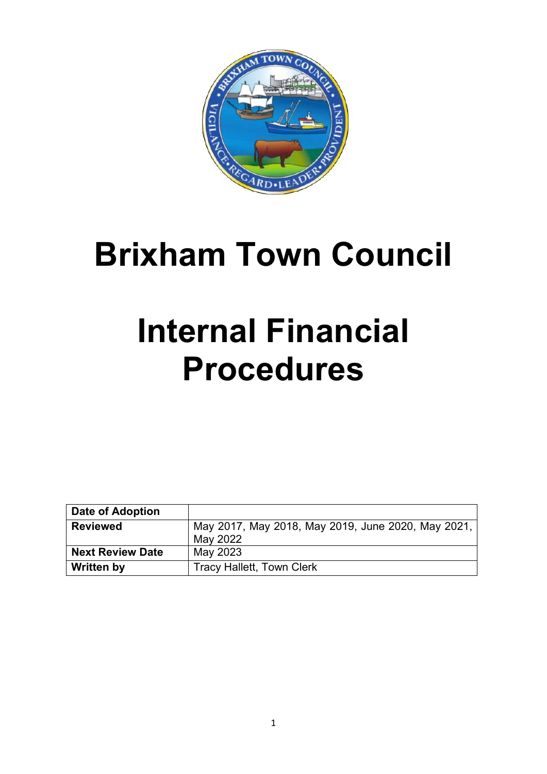

# **Brixham Town Council**

# **Internal Financial Procedures**

| Date of Adoption        |                                                    |
|-------------------------|----------------------------------------------------|
| <b>Reviewed</b>         | May 2017, May 2018, May 2019, June 2020, May 2021, |
|                         | May 2022                                           |
| <b>Next Review Date</b> | May 2023                                           |
| Written by              | <b>Tracy Hallett, Town Clerk</b>                   |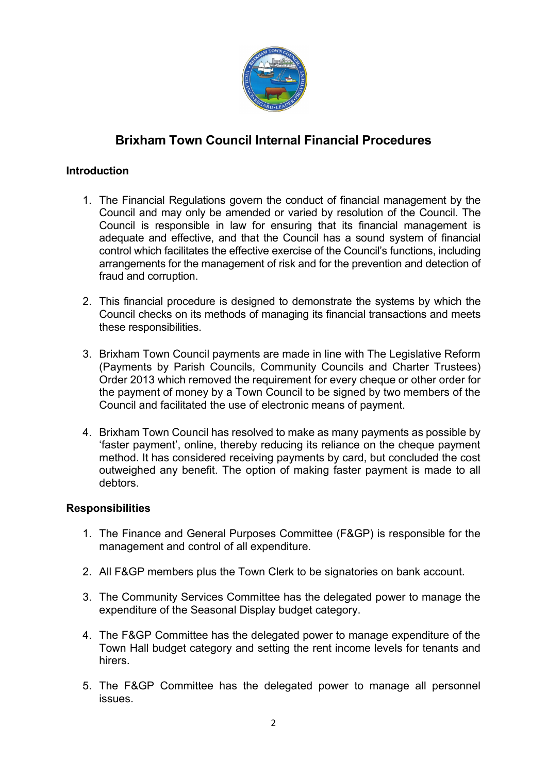

## **Brixham Town Council Internal Financial Procedures**

#### **Introduction**

- 1. The Financial Regulations govern the conduct of financial management by the Council and may only be amended or varied by resolution of the Council. The Council is responsible in law for ensuring that its financial management is adequate and effective, and that the Council has a sound system of financial control which facilitates the effective exercise of the Council's functions, including arrangements for the management of risk and for the prevention and detection of fraud and corruption.
- 2. This financial procedure is designed to demonstrate the systems by which the Council checks on its methods of managing its financial transactions and meets these responsibilities.
- 3. Brixham Town Council payments are made in line with The Legislative Reform (Payments by Parish Councils, Community Councils and Charter Trustees) Order 2013 which removed the requirement for every cheque or other order for the payment of money by a Town Council to be signed by two members of the Council and facilitated the use of electronic means of payment.
- 4. Brixham Town Council has resolved to make as many payments as possible by 'faster payment', online, thereby reducing its reliance on the cheque payment method. It has considered receiving payments by card, but concluded the cost outweighed any benefit. The option of making faster payment is made to all debtors.

#### **Responsibilities**

- 1. The Finance and General Purposes Committee (F&GP) is responsible for the management and control of all expenditure.
- 2. All F&GP members plus the Town Clerk to be signatories on bank account.
- 3. The Community Services Committee has the delegated power to manage the expenditure of the Seasonal Display budget category.
- 4. The F&GP Committee has the delegated power to manage expenditure of the Town Hall budget category and setting the rent income levels for tenants and hirers.
- 5. The F&GP Committee has the delegated power to manage all personnel issues.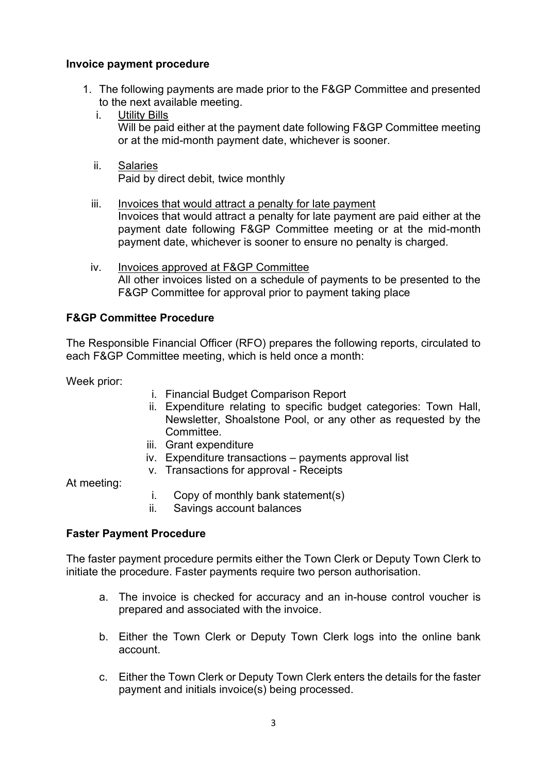#### **Invoice payment procedure**

- 1. The following payments are made prior to the F&GP Committee and presented to the next available meeting.
	- i. Utility Bills Will be paid either at the payment date following F&GP Committee meeting or at the mid-month payment date, whichever is sooner.
	- ii. Salaries Paid by direct debit, twice monthly
	- iii. Invoices that would attract a penalty for late payment Invoices that would attract a penalty for late payment are paid either at the payment date following F&GP Committee meeting or at the mid-month payment date, whichever is sooner to ensure no penalty is charged.
	- iv. Invoices approved at F&GP Committee All other invoices listed on a schedule of payments to be presented to the F&GP Committee for approval prior to payment taking place

#### **F&GP Committee Procedure**

The Responsible Financial Officer (RFO) prepares the following reports, circulated to each F&GP Committee meeting, which is held once a month:

Week prior:

- i. Financial Budget Comparison Report
- ii. Expenditure relating to specific budget categories: Town Hall, Newsletter, Shoalstone Pool, or any other as requested by the Committee.
- iii. Grant expenditure
- iv. Expenditure transactions payments approval list
- v. Transactions for approval Receipts

At meeting:

- i. Copy of monthly bank statement(s)
- ii. Savings account balances

#### **Faster Payment Procedure**

The faster payment procedure permits either the Town Clerk or Deputy Town Clerk to initiate the procedure. Faster payments require two person authorisation.

- a. The invoice is checked for accuracy and an in-house control voucher is prepared and associated with the invoice.
- b. Either the Town Clerk or Deputy Town Clerk logs into the online bank account.
- c. Either the Town Clerk or Deputy Town Clerk enters the details for the faster payment and initials invoice(s) being processed.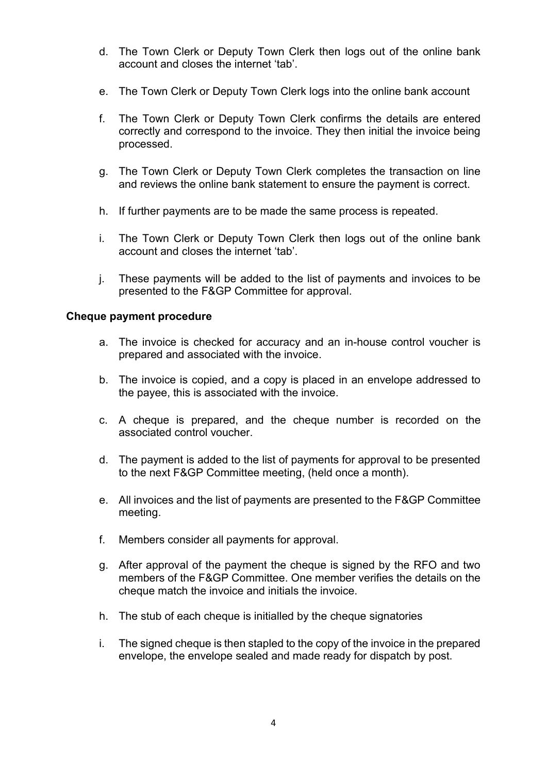- d. The Town Clerk or Deputy Town Clerk then logs out of the online bank account and closes the internet 'tab'.
- e. The Town Clerk or Deputy Town Clerk logs into the online bank account
- f. The Town Clerk or Deputy Town Clerk confirms the details are entered correctly and correspond to the invoice. They then initial the invoice being processed.
- g. The Town Clerk or Deputy Town Clerk completes the transaction on line and reviews the online bank statement to ensure the payment is correct.
- h. If further payments are to be made the same process is repeated.
- i. The Town Clerk or Deputy Town Clerk then logs out of the online bank account and closes the internet 'tab'.
- j. These payments will be added to the list of payments and invoices to be presented to the F&GP Committee for approval.

#### **Cheque payment procedure**

- a. The invoice is checked for accuracy and an in-house control voucher is prepared and associated with the invoice.
- b. The invoice is copied, and a copy is placed in an envelope addressed to the payee, this is associated with the invoice.
- c. A cheque is prepared, and the cheque number is recorded on the associated control voucher.
- d. The payment is added to the list of payments for approval to be presented to the next F&GP Committee meeting, (held once a month).
- e. All invoices and the list of payments are presented to the F&GP Committee meeting.
- f. Members consider all payments for approval.
- g. After approval of the payment the cheque is signed by the RFO and two members of the F&GP Committee. One member verifies the details on the cheque match the invoice and initials the invoice.
- h. The stub of each cheque is initialled by the cheque signatories
- i. The signed cheque is then stapled to the copy of the invoice in the prepared envelope, the envelope sealed and made ready for dispatch by post.